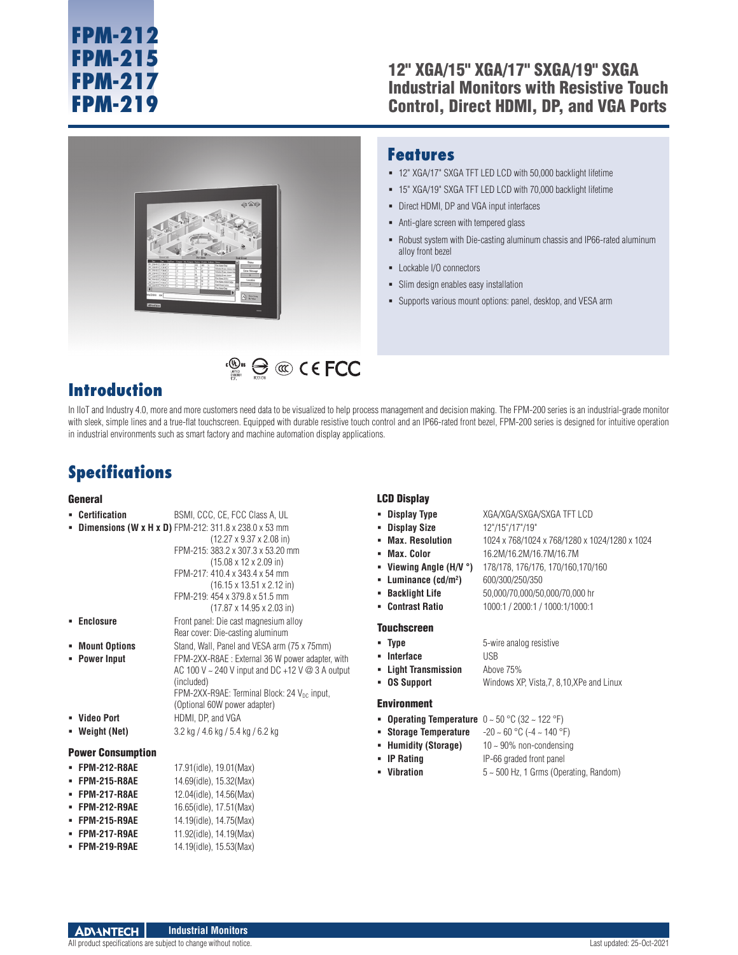#### 12" XGA/15" XGA/17" SXGA/19" SXGA Industrial Monitors with Resistive Touch Control, Direct HDMI, DP, and VGA Ports



#### **Features**

- 12" XGA/17" SXGA TFT LED LCD with 50,000 backlight lifetime
- 15" XGA/19" SXGA TFT LED LCD with 70,000 backlight lifetime
- Direct HDMI, DP and VGA input interfaces
- Anti-glare screen with tempered glass
- Robust system with Die-casting aluminum chassis and IP66-rated aluminum alloy front bezel
- Lockable I/O connectors
- Slim design enables easy installation
- Supports various mount options: panel, desktop, and VESA arm

#### **Introduction**

In IIoT and Industry 4.0, more and more customers need data to be visualized to help process management and decision making. The FPM-200 series is an industrial-grade monitor with sleek, simple lines and a true-flat touchscreen. Equipped with durable resistive touch control and an IP66-rated front bezel, FPM-200 series is designed for intuitive operation in industrial environments such as smart factory and machine automation display applications.

**EXECUTE:**  $\bigoplus$  **CO** C E FCC

### **Specifications**

#### **General**

#### **Certification** BSMI, CCC, CE, FCC Class A, UL **Dimensions (W x H x D)** FPM-212: 311.8 x 238.0 x 53 mm (12.27 x 9.37 x 2.08 in) FPM-215: 383.2 x 307.3 x 53.20 mm (15.08 x 12 x 2.09 in) FPM-217: 410.4 x 343.4 x 54 mm (16.15 x 13.51 x 2.12 in) FPM-219: 454 x 379.8 x 51.5 mm (17.87 x 14.95 x 2.03 in) **Enclosure** Front panel: Die cast magnesium alloy Rear cover: Die-casting aluminum **Mount Options** Stand, Wall, Panel and VESA arm (75 x 75mm) **Power Input** FPM-2XX-R8AE : External 36 W power adapter, with AC 100 V ~ 240 V input and DC +12 V @ 3 A output (included) FPM-2XX-R9AE: Terminal Block: 24 V<sub>DC</sub> input, (Optional 60W power adapter) **Video Port HDMI, DP, and VGA Weight (Net)** 3.2 kg / 4.6 kg / 5.4 kg / 6.2 kg Power Consumption **FPM-212-R8AE** 17.91(idle), 19.01(Max) **FPM-215-R8AE** 14.69(idle), 15.32(Max) **FPM-217-R8AE** 12.04(idle), 14.56(Max) **FPM-212-R9AE** 16.65(idle), 17.51(Max) **FPM-215-R9AE** 14.19(idle), 14.75(Max) LCD Display **Display Type** XGA/XGA/SXGA/SXGA TFT LCD **Display Size** 12"/15"/17"/19" **Max. Resolution** 1024 x 768/1024 x 768/1280 x 1024/1280 x 1024 **Max. Color** 16.2M/16.2M/16.7M/16.7M **Viewing Angle (H/V °)** 178/178, 176/176, 170/160,170/160 **Luminance (cd/m2 )** 600/300/250/350 **Backlight Life** 50,000/70,000/50,000/70,000 hr **Contrast Ratio** 1000:1 / 2000:1 / 1000:1/1000:1 Touchscreen **Type** 5-wire analog resistive **Interface** USB **Light Transmission** Above 75% **OS Support** Windows XP, Vista,7, 8,10,XPe and Linux Environment **Operating Temperature** 0 ~ 50 °C (32 ~ 122 °F) **Storage Temperature** -20 ~ 60 °C (-4 ~ 140 °F) **Humidity (Storage)** 10 ~ 90% non-condensing **IP Rating** IP-66 graded front panel **Vibration** 5 ~ 500 Hz, 1 Grms (Operating, Random)

#### **Industrial Monitors ADVANTECH**

 **FPM-217-R9AE** 11.92(idle), 14.19(Max) **FPM-219-R9AE** 14.19(idle), 15.53(Max)

All product specifications are subject to change without notice. Last updated: 25-Oct-2021